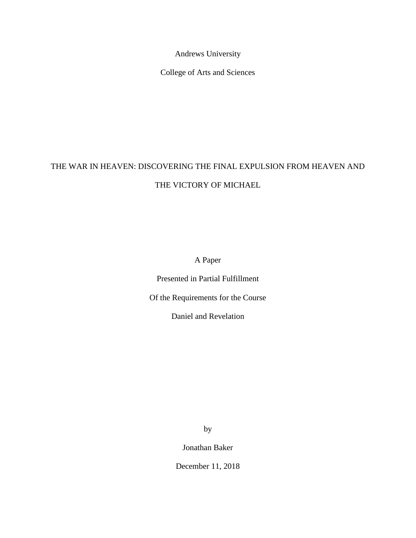Andrews University

College of Arts and Sciences

# THE WAR IN HEAVEN: DISCOVERING THE FINAL EXPULSION FROM HEAVEN AND THE VICTORY OF MICHAEL

A Paper

Presented in Partial Fulfillment

Of the Requirements for the Course

Daniel and Revelation

by

Jonathan Baker

December 11, 2018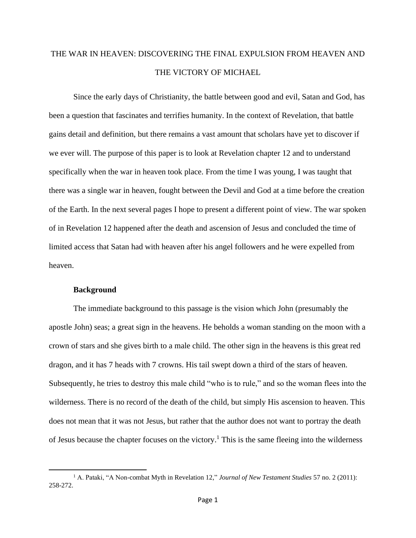## THE WAR IN HEAVEN: DISCOVERING THE FINAL EXPULSION FROM HEAVEN AND THE VICTORY OF MICHAEL

Since the early days of Christianity, the battle between good and evil, Satan and God, has been a question that fascinates and terrifies humanity. In the context of Revelation, that battle gains detail and definition, but there remains a vast amount that scholars have yet to discover if we ever will. The purpose of this paper is to look at Revelation chapter 12 and to understand specifically when the war in heaven took place. From the time I was young, I was taught that there was a single war in heaven, fought between the Devil and God at a time before the creation of the Earth. In the next several pages I hope to present a different point of view. The war spoken of in Revelation 12 happened after the death and ascension of Jesus and concluded the time of limited access that Satan had with heaven after his angel followers and he were expelled from heaven.

#### **Background**

The immediate background to this passage is the vision which John (presumably the apostle John) seas; a great sign in the heavens. He beholds a woman standing on the moon with a crown of stars and she gives birth to a male child. The other sign in the heavens is this great red dragon, and it has 7 heads with 7 crowns. His tail swept down a third of the stars of heaven. Subsequently, he tries to destroy this male child "who is to rule," and so the woman flees into the wilderness. There is no record of the death of the child, but simply His ascension to heaven. This does not mean that it was not Jesus, but rather that the author does not want to portray the death of Jesus because the chapter focuses on the victory.<sup>1</sup> This is the same fleeing into the wilderness

<sup>1</sup> A. Pataki, "A Non-combat Myth in Revelation 12," *Journal of New Testament Studies* 57 no. 2 (2011): 258-272.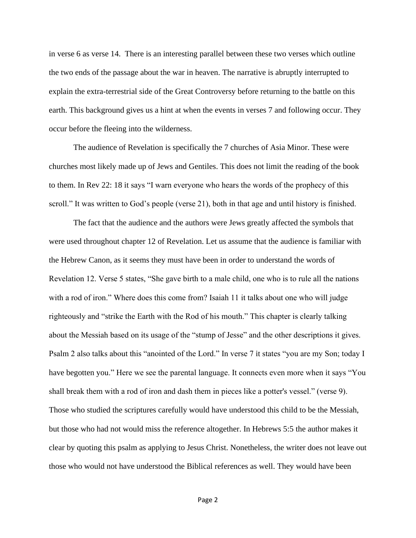in verse 6 as verse 14. There is an interesting parallel between these two verses which outline the two ends of the passage about the war in heaven. The narrative is abruptly interrupted to explain the extra-terrestrial side of the Great Controversy before returning to the battle on this earth. This background gives us a hint at when the events in verses 7 and following occur. They occur before the fleeing into the wilderness.

The audience of Revelation is specifically the 7 churches of Asia Minor. These were churches most likely made up of Jews and Gentiles. This does not limit the reading of the book to them. In Rev 22: 18 it says "I warn everyone who hears the words of the prophecy of this scroll." It was written to God's people (verse 21), both in that age and until history is finished.

The fact that the audience and the authors were Jews greatly affected the symbols that were used throughout chapter 12 of Revelation. Let us assume that the audience is familiar with the Hebrew Canon, as it seems they must have been in order to understand the words of Revelation 12. Verse 5 states, "She gave birth to a male child, one who is to rule all the nations with a rod of iron." Where does this come from? Isaiah 11 it talks about one who will judge righteously and "strike the Earth with the Rod of his mouth." This chapter is clearly talking about the Messiah based on its usage of the "stump of Jesse" and the other descriptions it gives. Psalm 2 also talks about this "anointed of the Lord." In verse 7 it states "you are my Son; today I have begotten you." Here we see the parental language. It connects even more when it says "You shall break them with a rod of iron and dash them in pieces like a potter's vessel." (verse 9). Those who studied the scriptures carefully would have understood this child to be the Messiah, but those who had not would miss the reference altogether. In Hebrews 5:5 the author makes it clear by quoting this psalm as applying to Jesus Christ. Nonetheless, the writer does not leave out those who would not have understood the Biblical references as well. They would have been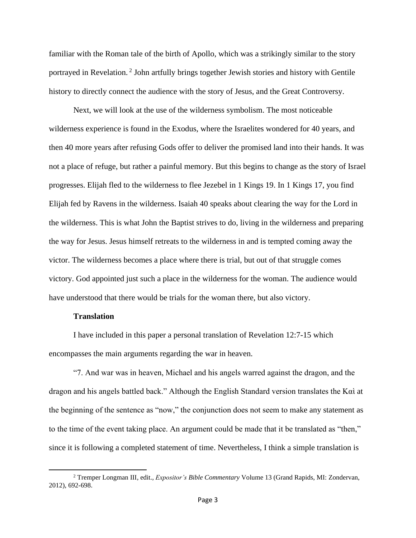familiar with the Roman tale of the birth of Apollo, which was a strikingly similar to the story portrayed in Revelation.<sup>2</sup> John artfully brings together Jewish stories and history with Gentile history to directly connect the audience with the story of Jesus, and the Great Controversy.

Next, we will look at the use of the wilderness symbolism. The most noticeable wilderness experience is found in the Exodus, where the Israelites wondered for 40 years, and then 40 more years after refusing Gods offer to deliver the promised land into their hands. It was not a place of refuge, but rather a painful memory. But this begins to change as the story of Israel progresses. Elijah fled to the wilderness to flee Jezebel in 1 Kings 19. In 1 Kings 17, you find Elijah fed by Ravens in the wilderness. Isaiah 40 speaks about clearing the way for the Lord in the wilderness. This is what John the Baptist strives to do, living in the wilderness and preparing the way for Jesus. Jesus himself retreats to the wilderness in and is tempted coming away the victor. The wilderness becomes a place where there is trial, but out of that struggle comes victory. God appointed just such a place in the wilderness for the woman. The audience would have understood that there would be trials for the woman there, but also victory.

### **Translation**

I have included in this paper a personal translation of Revelation 12:7-15 which encompasses the main arguments regarding the war in heaven.

"7. And war was in heaven, Michael and his angels warred against the dragon, and the dragon and his angels battled back." Although the English Standard version translates the Καὶ at the beginning of the sentence as "now," the conjunction does not seem to make any statement as to the time of the event taking place. An argument could be made that it be translated as "then," since it is following a completed statement of time. Nevertheless, I think a simple translation is

<sup>2</sup> Tremper Longman III*,* edit., *Expositor's Bible Commentary* Volume 13 (Grand Rapids, MI: Zondervan, 2012), 692-698.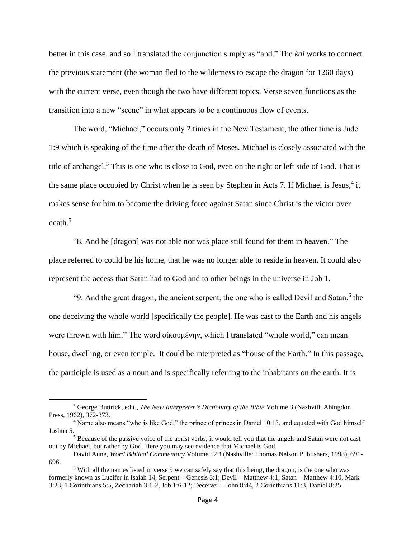better in this case, and so I translated the conjunction simply as "and." The *kai* works to connect the previous statement (the woman fled to the wilderness to escape the dragon for 1260 days) with the current verse, even though the two have different topics. Verse seven functions as the transition into a new "scene" in what appears to be a continuous flow of events.

The word, "Michael," occurs only 2 times in the New Testament, the other time is Jude 1:9 which is speaking of the time after the death of Moses. Michael is closely associated with the title of archangel.<sup>3</sup> This is one who is close to God, even on the right or left side of God. That is the same place occupied by Christ when he is seen by Stephen in Acts 7. If Michael is Jesus,<sup>4</sup> it makes sense for him to become the driving force against Satan since Christ is the victor over  $death.<sup>5</sup>$ 

"8. And he [dragon] was not able nor was place still found for them in heaven." The place referred to could be his home, that he was no longer able to reside in heaven. It could also represent the access that Satan had to God and to other beings in the universe in Job 1.

"9. And the great dragon, the ancient serpent, the one who is called Devil and Satan,<sup>6</sup> the one deceiving the whole world [specifically the people]. He was cast to the Earth and his angels were thrown with him." The word οἰκουμένην, which I translated "whole world," can mean house, dwelling, or even temple. It could be interpreted as "house of the Earth." In this passage, the participle is used as a noun and is specifically referring to the inhabitants on the earth. It is

<sup>3</sup> George Buttrick, edit., *The New Interpreter's Dictionary of the Bible* Volume 3 (Nashvill: Abingdon Press, 1962), 372-373.

<sup>&</sup>lt;sup>4</sup> Name also means "who is like God," the prince of princes in Daniel 10:13, and equated with God himself Joshua 5.

<sup>&</sup>lt;sup>5</sup> Because of the passive voice of the aorist verbs, it would tell you that the angels and Satan were not cast out by Michael, but rather by God. Here you may see evidence that Michael is God.

David Aune, *Word Biblical Commentary* Volume 52B (Nashville: Thomas Nelson Publishers, 1998), 691- 696.

<sup>&</sup>lt;sup>6</sup> With all the names listed in verse 9 we can safely say that this being, the dragon, is the one who was formerly known as Lucifer in Isaiah 14, Serpent – Genesis 3:1; Devil – Matthew 4:1; Satan – Matthew 4:10, Mark 3:23, 1 Corinthians 5:5, Zechariah 3:1-2, Job 1:6-12; Deceiver – John 8:44, 2 Corinthians 11:3, Daniel 8:25.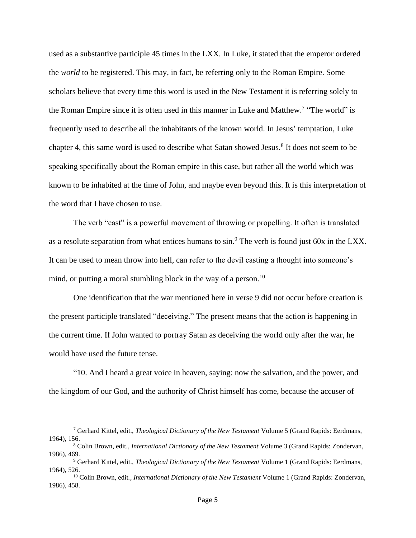used as a substantive participle 45 times in the LXX. In Luke, it stated that the emperor ordered the *world* to be registered. This may, in fact, be referring only to the Roman Empire. Some scholars believe that every time this word is used in the New Testament it is referring solely to the Roman Empire since it is often used in this manner in Luke and Matthew.<sup>7</sup> "The world" is frequently used to describe all the inhabitants of the known world. In Jesus' temptation, Luke chapter 4, this same word is used to describe what Satan showed Jesus.<sup>8</sup> It does not seem to be speaking specifically about the Roman empire in this case, but rather all the world which was known to be inhabited at the time of John, and maybe even beyond this. It is this interpretation of the word that I have chosen to use.

The verb "cast" is a powerful movement of throwing or propelling. It often is translated as a resolute separation from what entices humans to sin.<sup>9</sup> The verb is found just 60x in the LXX. It can be used to mean throw into hell, can refer to the devil casting a thought into someone's mind, or putting a moral stumbling block in the way of a person.<sup>10</sup>

One identification that the war mentioned here in verse 9 did not occur before creation is the present participle translated "deceiving." The present means that the action is happening in the current time. If John wanted to portray Satan as deceiving the world only after the war, he would have used the future tense.

"10. And I heard a great voice in heaven, saying: now the salvation, and the power, and the kingdom of our God, and the authority of Christ himself has come, because the accuser of

<sup>7</sup> Gerhard Kittel, edit., *Theological Dictionary of the New Testament* Volume 5 (Grand Rapids: Eerdmans, 1964), 156.

<sup>8</sup> Colin Brown, edit*., International Dictionary of the New Testament* Volume 3 (Grand Rapids: Zondervan, 1986), 469.

<sup>9</sup> Gerhard Kittel, edit., *Theological Dictionary of the New Testament* Volume 1 (Grand Rapids: Eerdmans, 1964), 526.

<sup>10</sup> Colin Brown, edit*., International Dictionary of the New Testament* Volume 1 (Grand Rapids: Zondervan, 1986), 458.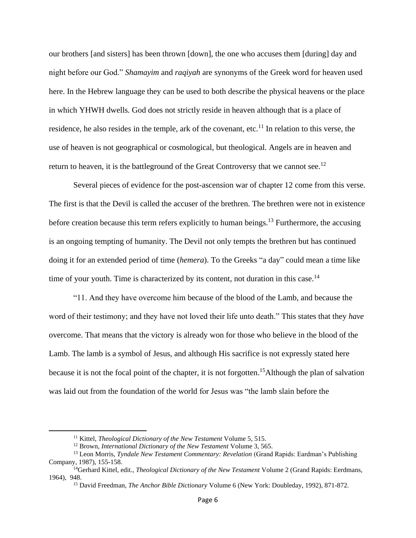our brothers [and sisters] has been thrown [down], the one who accuses them [during] day and night before our God." *Shamayim* and *raqiyah* are synonyms of the Greek word for heaven used here. In the Hebrew language they can be used to both describe the physical heavens or the place in which YHWH dwells*.* God does not strictly reside in heaven although that is a place of residence, he also resides in the temple, ark of the covenant, etc.<sup>11</sup> In relation to this verse, the use of heaven is not geographical or cosmological, but theological. Angels are in heaven and return to heaven, it is the battleground of the Great Controversy that we cannot see.<sup>12</sup>

Several pieces of evidence for the post-ascension war of chapter 12 come from this verse. The first is that the Devil is called the accuser of the brethren. The brethren were not in existence before creation because this term refers explicitly to human beings.<sup>13</sup> Furthermore, the accusing is an ongoing tempting of humanity. The Devil not only tempts the brethren but has continued doing it for an extended period of time (*hemera*). To the Greeks "a day" could mean a time like time of your youth. Time is characterized by its content, not duration in this case.<sup>14</sup>

"11. And they have overcome him because of the blood of the Lamb, and because the word of their testimony; and they have not loved their life unto death." This states that they *have*  overcome. That means that the victory is already won for those who believe in the blood of the Lamb. The lamb is a symbol of Jesus, and although His sacrifice is not expressly stated here because it is not the focal point of the chapter, it is not forgotten. <sup>15</sup>Although the plan of salvation was laid out from the foundation of the world for Jesus was "the lamb slain before the

<sup>11</sup> Kittel, *Theological Dictionary of the New Testament* Volume 5, 515.

<sup>12</sup> Brown, *International Dictionary of the New Testament* Volume 3, 565.

<sup>13</sup> Leon Morris, *Tyndale New Testament Commentary: Revelation* (Grand Rapids: Eardman's Publishing Company, 1987), 155-158.

<sup>14</sup>Gerhard Kittel, edit., *Theological Dictionary of the New Testament* Volume 2 (Grand Rapids: Eerdmans, 1964), 948.

<sup>15</sup> David Freedman, *The Anchor Bible Dictionary* Volume 6 (New York: Doubleday, 1992), 871-872.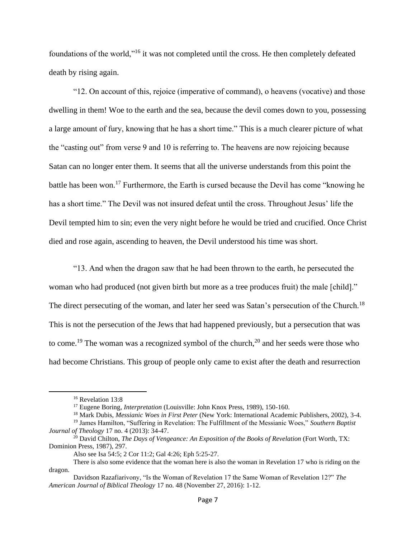foundations of the world,"<sup>16</sup> it was not completed until the cross. He then completely defeated death by rising again.

"12. On account of this, rejoice (imperative of command), o heavens (vocative) and those dwelling in them! Woe to the earth and the sea, because the devil comes down to you, possessing a large amount of fury, knowing that he has a short time." This is a much clearer picture of what the "casting out" from verse 9 and 10 is referring to. The heavens are now rejoicing because Satan can no longer enter them. It seems that all the universe understands from this point the battle has been won.<sup>17</sup> Furthermore, the Earth is cursed because the Devil has come "knowing he has a short time." The Devil was not insured defeat until the cross. Throughout Jesus' life the Devil tempted him to sin; even the very night before he would be tried and crucified. Once Christ died and rose again, ascending to heaven, the Devil understood his time was short.

"13. And when the dragon saw that he had been thrown to the earth, he persecuted the woman who had produced (not given birth but more as a tree produces fruit) the male [child]." The direct persecuting of the woman, and later her seed was Satan's persecution of the Church.<sup>18</sup> This is not the persecution of the Jews that had happened previously, but a persecution that was to come.<sup>19</sup> The woman was a recognized symbol of the church,<sup>20</sup> and her seeds were those who had become Christians. This group of people only came to exist after the death and resurrection

<sup>&</sup>lt;sup>16</sup> Revelation 13:8

<sup>&</sup>lt;sup>17</sup> Eugene Boring, *Interpretation* (Louisville: John Knox Press, 1989), 150-160.

<sup>18</sup> Mark Dubis, *Messianic Woes in First Peter* (New York: International Academic Publishers, 2002), 3-4.

<sup>19</sup> James Hamilton, "Suffering in Revelation: The Fulfillment of the Messianic Woes," *Southern Baptist Journal of Theology* 17 no. 4 (2013): 34-47.

<sup>&</sup>lt;sup>20</sup> David Chilton, *The Days of Vengeance: An Exposition of the Books of Revelation* (Fort Worth, TX: Dominion Press, 1987), 297.

Also see Isa 54:5; 2 Cor 11:2; Gal 4:26; Eph 5:25-27.

There is also some evidence that the woman here is also the woman in Revelation 17 who is riding on the dragon.

Davidson Razafiarivony, "Is the Woman of Revelation 17 the Same Woman of Revelation 12?" *The American Journal of Biblical Theology* 17 no. 48 (November 27, 2016): 1-12.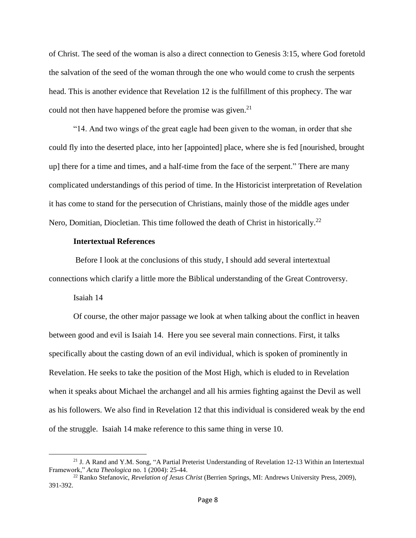of Christ. The seed of the woman is also a direct connection to Genesis 3:15, where God foretold the salvation of the seed of the woman through the one who would come to crush the serpents head. This is another evidence that Revelation 12 is the fulfillment of this prophecy. The war could not then have happened before the promise was given.<sup>21</sup>

"14. And two wings of the great eagle had been given to the woman, in order that she could fly into the deserted place, into her [appointed] place, where she is fed [nourished, brought up] there for a time and times, and a half-time from the face of the serpent." There are many complicated understandings of this period of time. In the Historicist interpretation of Revelation it has come to stand for the persecution of Christians, mainly those of the middle ages under Nero, Domitian, Diocletian. This time followed the death of Christ in historically.<sup>22</sup>

#### **Intertextual References**

Before I look at the conclusions of this study, I should add several intertextual connections which clarify a little more the Biblical understanding of the Great Controversy.

Isaiah 14

Of course, the other major passage we look at when talking about the conflict in heaven between good and evil is Isaiah 14. Here you see several main connections. First, it talks specifically about the casting down of an evil individual, which is spoken of prominently in Revelation. He seeks to take the position of the Most High, which is eluded to in Revelation when it speaks about Michael the archangel and all his armies fighting against the Devil as well as his followers. We also find in Revelation 12 that this individual is considered weak by the end of the struggle. Isaiah 14 make reference to this same thing in verse 10.

<sup>&</sup>lt;sup>21</sup> J. A Rand and Y.M. Song, "A Partial Preterist Understanding of Revelation 12-13 Within an Intertextual Framework," *Acta Theologica* no. 1 (2004): 25-44.

<sup>22</sup> Ranko Stefanovic, *Revelation of Jesus Christ* (Berrien Springs, MI: Andrews University Press, 2009), 391-392.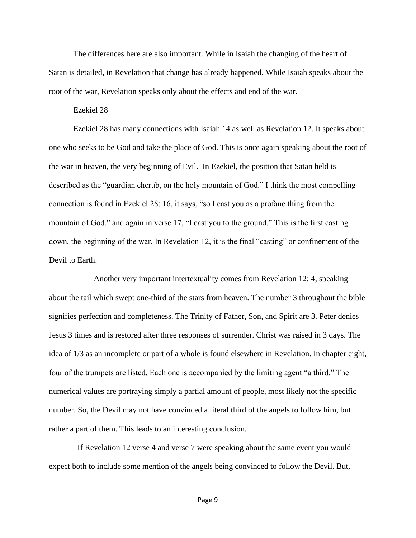The differences here are also important. While in Isaiah the changing of the heart of Satan is detailed, in Revelation that change has already happened. While Isaiah speaks about the root of the war, Revelation speaks only about the effects and end of the war.

#### Ezekiel 28

Ezekiel 28 has many connections with Isaiah 14 as well as Revelation 12. It speaks about one who seeks to be God and take the place of God. This is once again speaking about the root of the war in heaven, the very beginning of Evil. In Ezekiel, the position that Satan held is described as the "guardian cherub, on the holy mountain of God." I think the most compelling connection is found in Ezekiel 28: 16, it says, "so I cast you as a profane thing from the mountain of God," and again in verse 17, "I cast you to the ground." This is the first casting down, the beginning of the war. In Revelation 12, it is the final "casting" or confinement of the Devil to Earth.

Another very important intertextuality comes from Revelation 12: 4, speaking about the tail which swept one-third of the stars from heaven. The number 3 throughout the bible signifies perfection and completeness. The Trinity of Father, Son, and Spirit are 3. Peter denies Jesus 3 times and is restored after three responses of surrender. Christ was raised in 3 days. The idea of 1/3 as an incomplete or part of a whole is found elsewhere in Revelation. In chapter eight, four of the trumpets are listed. Each one is accompanied by the limiting agent "a third." The numerical values are portraying simply a partial amount of people, most likely not the specific number. So, the Devil may not have convinced a literal third of the angels to follow him, but rather a part of them. This leads to an interesting conclusion.

If Revelation 12 verse 4 and verse 7 were speaking about the same event you would expect both to include some mention of the angels being convinced to follow the Devil. But,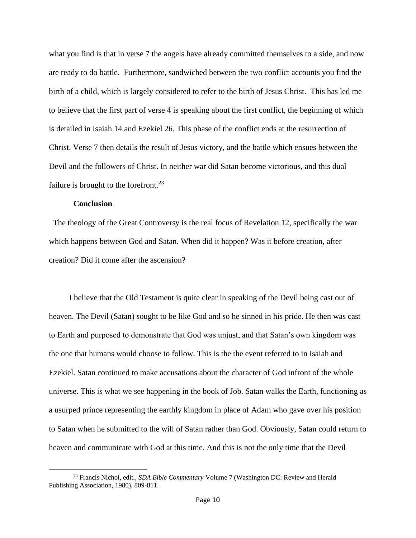what you find is that in verse 7 the angels have already committed themselves to a side, and now are ready to do battle. Furthermore, sandwiched between the two conflict accounts you find the birth of a child, which is largely considered to refer to the birth of Jesus Christ. This has led me to believe that the first part of verse 4 is speaking about the first conflict, the beginning of which is detailed in Isaiah 14 and Ezekiel 26. This phase of the conflict ends at the resurrection of Christ. Verse 7 then details the result of Jesus victory, and the battle which ensues between the Devil and the followers of Christ. In neither war did Satan become victorious, and this dual failure is brought to the forefront.<sup>23</sup>

#### **Conclusion**

The theology of the Great Controversy is the real focus of Revelation 12, specifically the war which happens between God and Satan. When did it happen? Was it before creation, after creation? Did it come after the ascension?

I believe that the Old Testament is quite clear in speaking of the Devil being cast out of heaven. The Devil (Satan) sought to be like God and so he sinned in his pride. He then was cast to Earth and purposed to demonstrate that God was unjust, and that Satan's own kingdom was the one that humans would choose to follow. This is the the event referred to in Isaiah and Ezekiel. Satan continued to make accusations about the character of God infront of the whole universe. This is what we see happening in the book of Job. Satan walks the Earth, functioning as a usurped prince representing the earthly kingdom in place of Adam who gave over his position to Satan when he submitted to the will of Satan rather than God. Obviously, Satan could return to heaven and communicate with God at this time. And this is not the only time that the Devil

<sup>23</sup> Francis Nichol, edit*., SDA Bible Commentary* Volume 7 (Washington DC: Review and Herald Publishing Association, 1980), 809-811.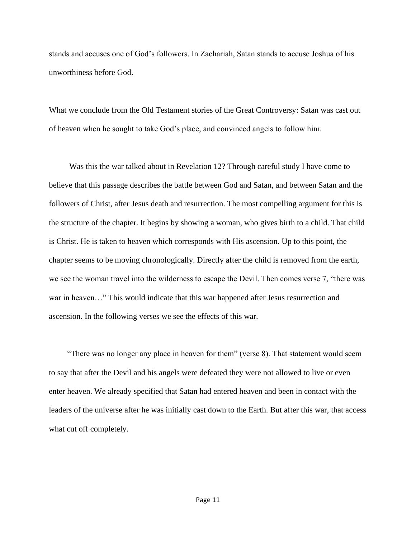stands and accuses one of God's followers. In Zachariah, Satan stands to accuse Joshua of his unworthiness before God.

What we conclude from the Old Testament stories of the Great Controversy: Satan was cast out of heaven when he sought to take God's place, and convinced angels to follow him.

Was this the war talked about in Revelation 12? Through careful study I have come to believe that this passage describes the battle between God and Satan, and between Satan and the followers of Christ, after Jesus death and resurrection. The most compelling argument for this is the structure of the chapter. It begins by showing a woman, who gives birth to a child. That child is Christ. He is taken to heaven which corresponds with His ascension. Up to this point, the chapter seems to be moving chronologically. Directly after the child is removed from the earth, we see the woman travel into the wilderness to escape the Devil. Then comes verse 7, "there was war in heaven…" This would indicate that this war happened after Jesus resurrection and ascension. In the following verses we see the effects of this war.

"There was no longer any place in heaven for them" (verse 8). That statement would seem to say that after the Devil and his angels were defeated they were not allowed to live or even enter heaven. We already specified that Satan had entered heaven and been in contact with the leaders of the universe after he was initially cast down to the Earth. But after this war, that access what cut off completely.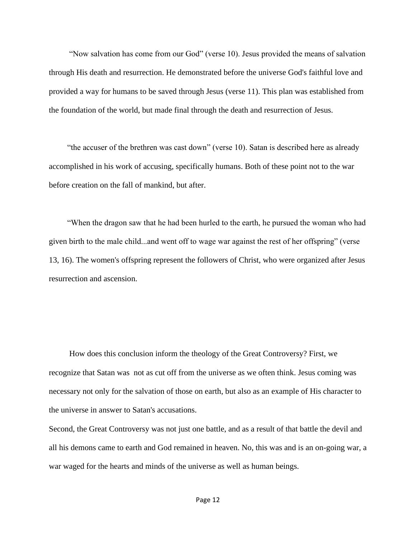"Now salvation has come from our God" (verse 10). Jesus provided the means of salvation through His death and resurrection. He demonstrated before the universe God's faithful love and provided a way for humans to be saved through Jesus (verse 11). This plan was established from the foundation of the world, but made final through the death and resurrection of Jesus.

"the accuser of the brethren was cast down" (verse 10). Satan is described here as already accomplished in his work of accusing, specifically humans. Both of these point not to the war before creation on the fall of mankind, but after.

"When the dragon saw that he had been hurled to the earth, he pursued the woman who had given birth to the male child...and went off to wage war against the rest of her offspring" (verse 13, 16). The women's offspring represent the followers of Christ, who were organized after Jesus resurrection and ascension.

How does this conclusion inform the theology of the Great Controversy? First, we recognize that Satan was not as cut off from the universe as we often think. Jesus coming was necessary not only for the salvation of those on earth, but also as an example of His character to the universe in answer to Satan's accusations.

Second, the Great Controversy was not just one battle, and as a result of that battle the devil and all his demons came to earth and God remained in heaven. No, this was and is an on-going war, a war waged for the hearts and minds of the universe as well as human beings.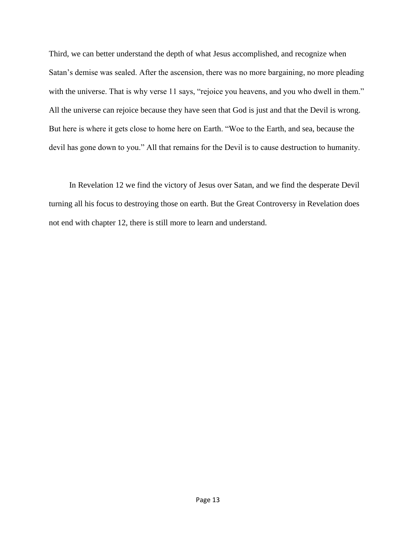Third, we can better understand the depth of what Jesus accomplished, and recognize when Satan's demise was sealed. After the ascension, there was no more bargaining, no more pleading with the universe. That is why verse 11 says, "rejoice you heavens, and you who dwell in them." All the universe can rejoice because they have seen that God is just and that the Devil is wrong. But here is where it gets close to home here on Earth. "Woe to the Earth, and sea, because the devil has gone down to you." All that remains for the Devil is to cause destruction to humanity.

In Revelation 12 we find the victory of Jesus over Satan, and we find the desperate Devil turning all his focus to destroying those on earth. But the Great Controversy in Revelation does not end with chapter 12, there is still more to learn and understand.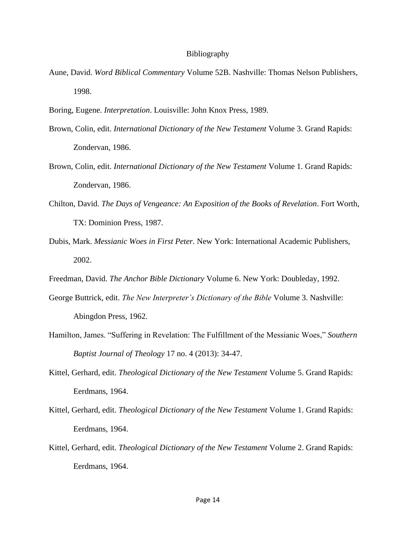#### Bibliography

- Aune, David. *Word Biblical Commentary* Volume 52B. Nashville: Thomas Nelson Publishers, 1998.
- Boring, Eugene. *Interpretation*. Louisville: John Knox Press, 1989.
- Brown, Colin, edit. *International Dictionary of the New Testament* Volume 3. Grand Rapids: Zondervan, 1986.
- Brown, Colin, edit. *International Dictionary of the New Testament* Volume 1. Grand Rapids: Zondervan, 1986.
- Chilton, David. *The Days of Vengeance: An Exposition of the Books of Revelation*. Fort Worth, TX: Dominion Press, 1987.
- Dubis, Mark. *Messianic Woes in First Peter.* New York: International Academic Publishers, 2002.
- Freedman, David. *The Anchor Bible Dictionary* Volume 6. New York: Doubleday, 1992.
- George Buttrick, edit. *The New Interpreter's Dictionary of the Bible* Volume 3. Nashville: Abingdon Press, 1962.
- Hamilton, James. "Suffering in Revelation: The Fulfillment of the Messianic Woes," *Southern Baptist Journal of Theology* 17 no. 4 (2013): 34-47.
- Kittel, Gerhard, edit. *Theological Dictionary of the New Testament* Volume 5. Grand Rapids: Eerdmans, 1964.
- Kittel, Gerhard, edit. *Theological Dictionary of the New Testament* Volume 1. Grand Rapids: Eerdmans, 1964.
- Kittel, Gerhard, edit. *Theological Dictionary of the New Testament* Volume 2. Grand Rapids: Eerdmans, 1964.